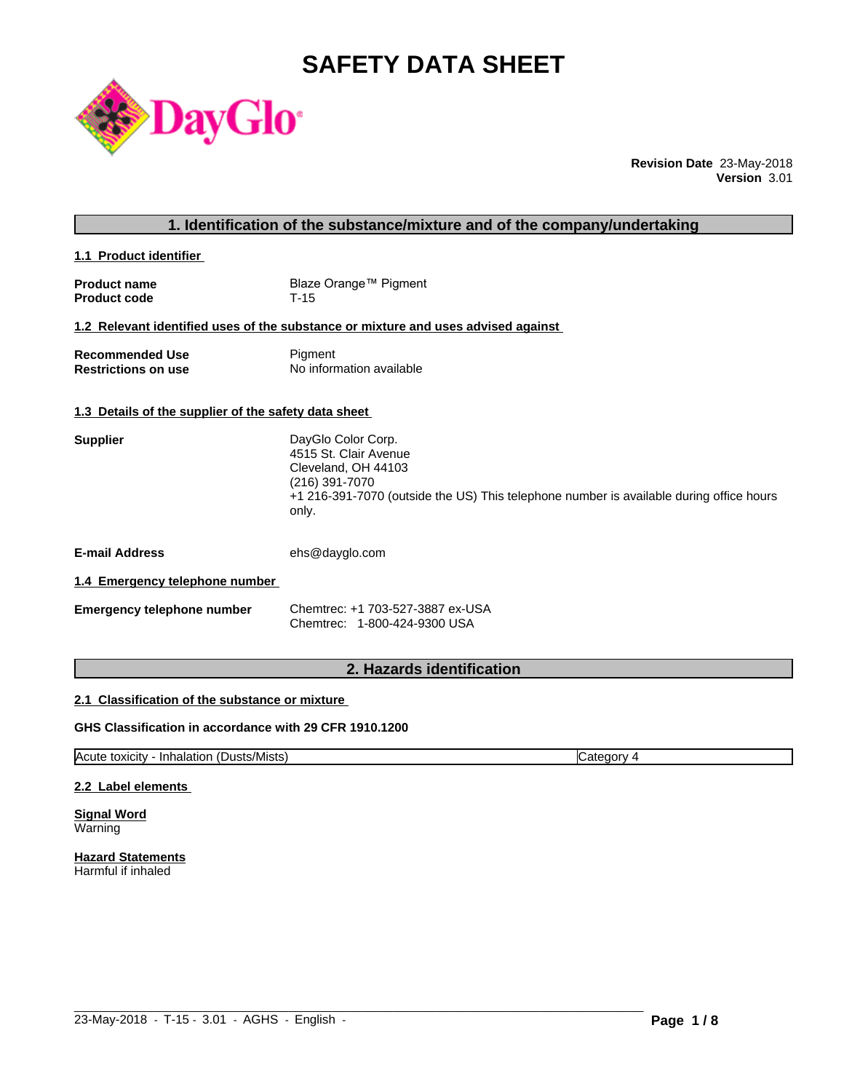# **SAFETY DATA SHEET**



**Revision Date** 23-May-2018 **Version** 3.01

| 1. Identification of the substance/mixture and of the company/undertaking |                                                                                                                                                                                          |  |
|---------------------------------------------------------------------------|------------------------------------------------------------------------------------------------------------------------------------------------------------------------------------------|--|
| 1.1 Product identifier                                                    |                                                                                                                                                                                          |  |
| <b>Product name</b><br><b>Product code</b>                                | Blaze Orange™ Pigment<br>$T-15$                                                                                                                                                          |  |
|                                                                           | 1.2 Relevant identified uses of the substance or mixture and uses advised against                                                                                                        |  |
| <b>Recommended Use</b><br><b>Restrictions on use</b>                      | Pigment<br>No information available                                                                                                                                                      |  |
| 1.3 Details of the supplier of the safety data sheet                      |                                                                                                                                                                                          |  |
| <b>Supplier</b>                                                           | DayGlo Color Corp.<br>4515 St. Clair Avenue<br>Cleveland, OH 44103<br>(216) 391-7070<br>+1 216-391-7070 (outside the US) This telephone number is available during office hours<br>only. |  |
| <b>E-mail Address</b>                                                     | ehs@dayglo.com                                                                                                                                                                           |  |
| 1.4 Emergency telephone number                                            |                                                                                                                                                                                          |  |
| <b>Emergency telephone number</b>                                         | Chemtrec: +1 703-527-3887 ex-USA<br>Chemtrec: 1-800-424-9300 USA                                                                                                                         |  |
|                                                                           |                                                                                                                                                                                          |  |

# **2. Hazards identification**

# **2.1 Classification of the substance or mixture**

### **GHS Classification in accordance with 29 CFR 1910.1200**

Acute toxicity - Inhalation (Dusts/Mists) Category 4

 $\_$  ,  $\_$  ,  $\_$  ,  $\_$  ,  $\_$  ,  $\_$  ,  $\_$  ,  $\_$  ,  $\_$  ,  $\_$  ,  $\_$  ,  $\_$  ,  $\_$  ,  $\_$  ,  $\_$  ,  $\_$  ,  $\_$  ,  $\_$  ,  $\_$  ,  $\_$  ,  $\_$  ,  $\_$  ,  $\_$  ,  $\_$  ,  $\_$  ,  $\_$  ,  $\_$  ,  $\_$  ,  $\_$  ,  $\_$  ,  $\_$  ,  $\_$  ,  $\_$  ,  $\_$  ,  $\_$  ,  $\_$  ,  $\_$  ,

#### **2.2 Label elements**

**Signal Word** Warning

**Hazard Statements** Harmful if inhaled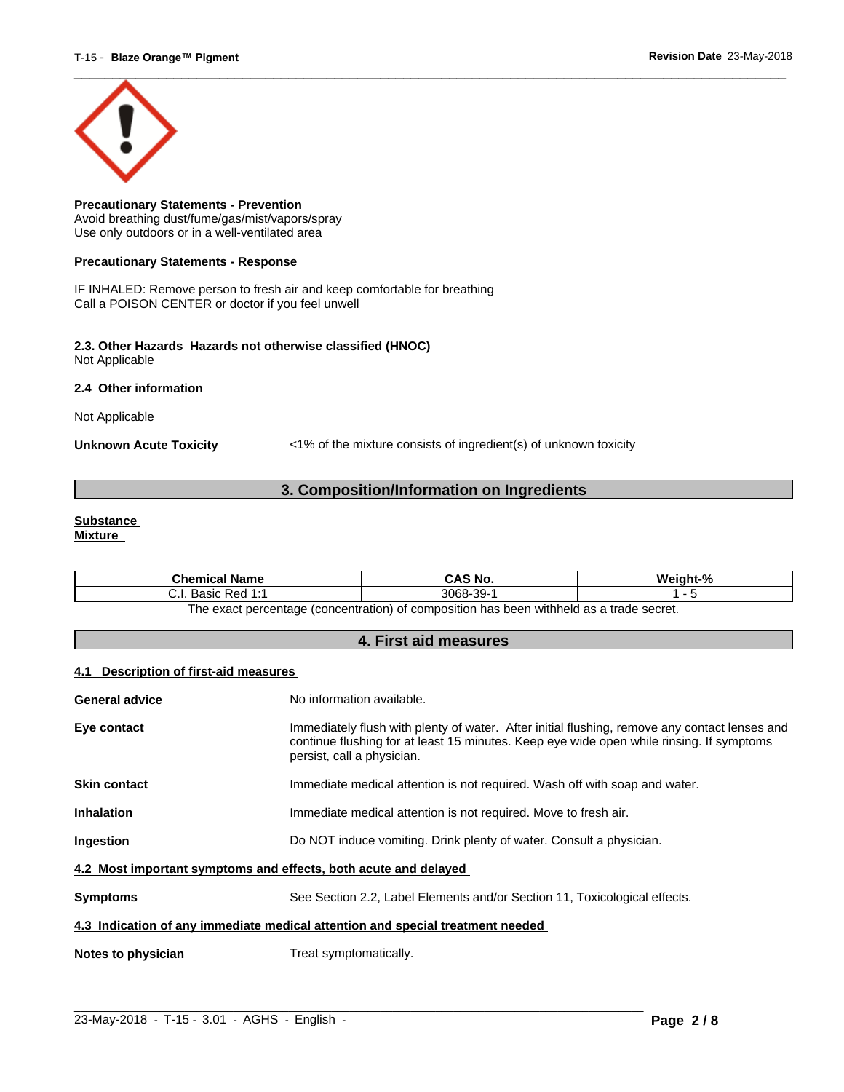

**Precautionary Statements - Prevention** Avoid breathing dust/fume/gas/mist/vapors/spray Use only outdoors or in a well-ventilated area

#### **Precautionary Statements - Response**

IF INHALED: Remove person to fresh air and keep comfortable for breathing Call a POISON CENTER or doctor if you feel unwell

#### **2.3. Other Hazards Hazards not otherwise classified (HNOC)** Not Applicable

**2.4 Other information** 

Not Applicable

**Unknown Acute Toxicity** <1% of the mixture consists of ingredient(s) of unknown toxicity

# **3. Composition/Information on Ingredients**

#### **Substance Mixture**

| Chemical<br>l Name                                                                              | CAS No.             | Mainht <sub>-</sub> % |
|-------------------------------------------------------------------------------------------------|---------------------|-----------------------|
| 4.4<br>: Red<br><b>Doole</b><br>. ۱. ب<br>sasiv<br>.                                            | -30-<br>3068-<br>ັບ |                       |
| tannes ahert e ze hladdiw naad sa t<br>: nercentage (concentration) of composition<br>∣h≙ ≙¥a∩t |                     |                       |

The exact percentage (concentration) of composition has been withheld as a trade secret.

# **4. First aid measures**

#### **4.1 Description of first-aid measures**

| <b>General advice</b>                                                          | No information available.                                                                                                                                                                                               |  |
|--------------------------------------------------------------------------------|-------------------------------------------------------------------------------------------------------------------------------------------------------------------------------------------------------------------------|--|
| Eye contact                                                                    | Immediately flush with plenty of water. After initial flushing, remove any contact lenses and<br>continue flushing for at least 15 minutes. Keep eye wide open while rinsing. If symptoms<br>persist, call a physician. |  |
| <b>Skin contact</b>                                                            | Immediate medical attention is not required. Wash off with soap and water.                                                                                                                                              |  |
| <b>Inhalation</b>                                                              | Immediate medical attention is not required. Move to fresh air.                                                                                                                                                         |  |
| <b>Ingestion</b>                                                               | Do NOT induce vomiting. Drink plenty of water. Consult a physician.                                                                                                                                                     |  |
| 4.2 Most important symptoms and effects, both acute and delayed                |                                                                                                                                                                                                                         |  |
| <b>Symptoms</b>                                                                | See Section 2.2, Label Elements and/or Section 11, Toxicological effects.                                                                                                                                               |  |
| 4.3 Indication of any immediate medical attention and special treatment needed |                                                                                                                                                                                                                         |  |
| Notes to physician                                                             | Treat symptomatically.                                                                                                                                                                                                  |  |

 $\_$  ,  $\_$  ,  $\_$  ,  $\_$  ,  $\_$  ,  $\_$  ,  $\_$  ,  $\_$  ,  $\_$  ,  $\_$  ,  $\_$  ,  $\_$  ,  $\_$  ,  $\_$  ,  $\_$  ,  $\_$  ,  $\_$  ,  $\_$  ,  $\_$  ,  $\_$  ,  $\_$  ,  $\_$  ,  $\_$  ,  $\_$  ,  $\_$  ,  $\_$  ,  $\_$  ,  $\_$  ,  $\_$  ,  $\_$  ,  $\_$  ,  $\_$  ,  $\_$  ,  $\_$  ,  $\_$  ,  $\_$  ,  $\_$  ,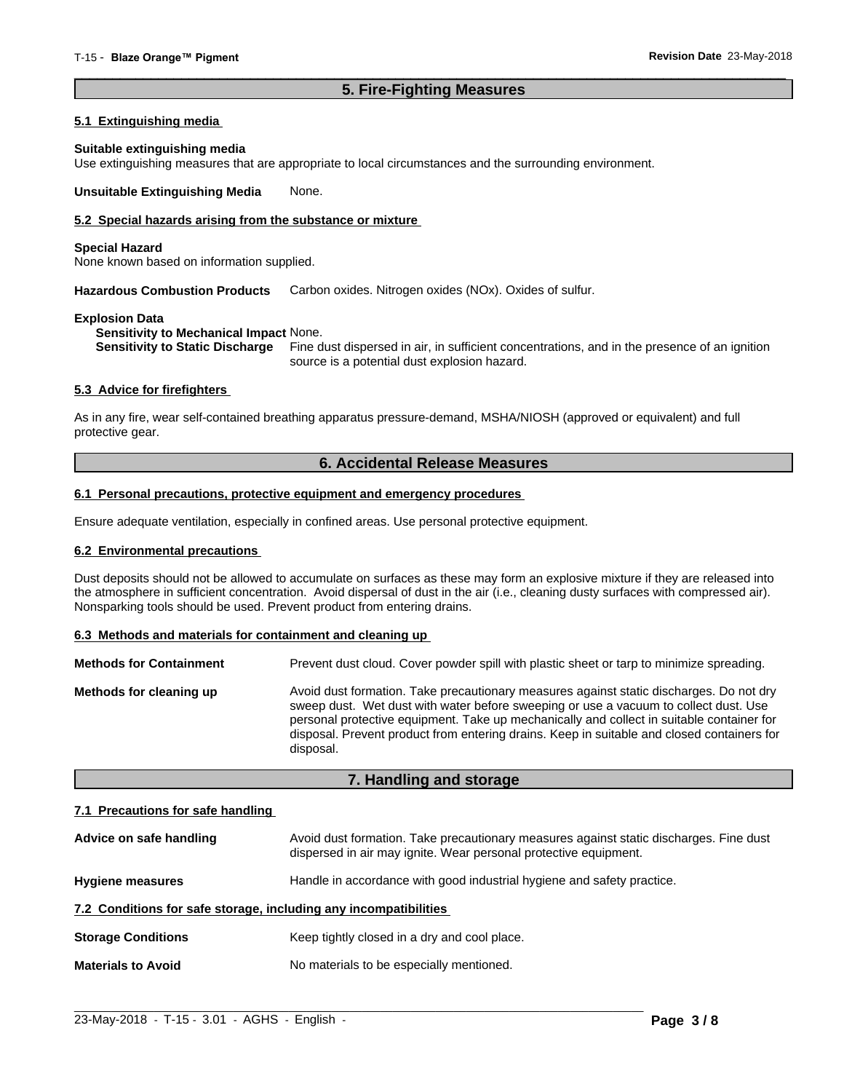# **5. Fire-Fighting Measures**

 $\overline{\phantom{a}}$  ,  $\overline{\phantom{a}}$  ,  $\overline{\phantom{a}}$  ,  $\overline{\phantom{a}}$  ,  $\overline{\phantom{a}}$  ,  $\overline{\phantom{a}}$  ,  $\overline{\phantom{a}}$  ,  $\overline{\phantom{a}}$  ,  $\overline{\phantom{a}}$  ,  $\overline{\phantom{a}}$  ,  $\overline{\phantom{a}}$  ,  $\overline{\phantom{a}}$  ,  $\overline{\phantom{a}}$  ,  $\overline{\phantom{a}}$  ,  $\overline{\phantom{a}}$  ,  $\overline{\phantom{a}}$ 

#### **5.1 Extinguishing media**

#### **Suitable extinguishing media**

Use extinguishing measures that are appropriate to local circumstances and the surrounding environment.

**Unsuitable Extinguishing Media** None.

#### **5.2 Special hazards arising from the substance or mixture**

#### **Special Hazard**

None known based on information supplied.

**Hazardous Combustion Products** Carbon oxides. Nitrogen oxides (NOx). Oxides of sulfur.

#### **Explosion Data**

**Sensitivity to Mechanical Impact** None.

**Sensitivity to Static Discharge** Fine dust dispersed in air, in sufficient concentrations, and in the presence of an ignition source is a potential dust explosion hazard.

#### **5.3 Advice for firefighters**

As in any fire, wear self-contained breathing apparatus pressure-demand, MSHA/NIOSH (approved or equivalent) and full protective gear.

# **6. Accidental Release Measures**

#### **6.1 Personal precautions, protective equipment and emergency procedures**

Ensure adequate ventilation, especially in confined areas. Use personal protective equipment.

#### **6.2 Environmental precautions**

Dust deposits should not be allowed to accumulate on surfaces as these may form an explosive mixture if they are released into the atmosphere in sufficient concentration. Avoid dispersal of dust in the air (i.e., cleaning dusty surfaces with compressed air). Nonsparking tools should be used. Prevent product from entering drains.

#### **6.3 Methods and materials for containment and cleaning up**

| <b>Methods for Containment</b> | Prevent dust cloud. Cover powder spill with plastic sheet or tarp to minimize spreading.                                                                                                                                                                                                                                                                                                |
|--------------------------------|-----------------------------------------------------------------------------------------------------------------------------------------------------------------------------------------------------------------------------------------------------------------------------------------------------------------------------------------------------------------------------------------|
| Methods for cleaning up        | Avoid dust formation. Take precautionary measures against static discharges. Do not dry<br>sweep dust. Wet dust with water before sweeping or use a vacuum to collect dust. Use<br>personal protective equipment. Take up mechanically and collect in suitable container for<br>disposal. Prevent product from entering drains. Keep in suitable and closed containers for<br>disposal. |

### **7. Handling and storage**

#### **7.1 Precautions for safe handling**

| Advice on safe handling                                          | Avoid dust formation. Take precautionary measures against static discharges. Fine dust<br>dispersed in air may ignite. Wear personal protective equipment. |  |
|------------------------------------------------------------------|------------------------------------------------------------------------------------------------------------------------------------------------------------|--|
| <b>Hygiene measures</b>                                          | Handle in accordance with good industrial hygiene and safety practice.                                                                                     |  |
| 7.2 Conditions for safe storage, including any incompatibilities |                                                                                                                                                            |  |
| <b>Storage Conditions</b>                                        | Keep tightly closed in a dry and cool place.                                                                                                               |  |
| <b>Materials to Avoid</b>                                        | No materials to be especially mentioned.                                                                                                                   |  |

 $\_$  ,  $\_$  ,  $\_$  ,  $\_$  ,  $\_$  ,  $\_$  ,  $\_$  ,  $\_$  ,  $\_$  ,  $\_$  ,  $\_$  ,  $\_$  ,  $\_$  ,  $\_$  ,  $\_$  ,  $\_$  ,  $\_$  ,  $\_$  ,  $\_$  ,  $\_$  ,  $\_$  ,  $\_$  ,  $\_$  ,  $\_$  ,  $\_$  ,  $\_$  ,  $\_$  ,  $\_$  ,  $\_$  ,  $\_$  ,  $\_$  ,  $\_$  ,  $\_$  ,  $\_$  ,  $\_$  ,  $\_$  ,  $\_$  ,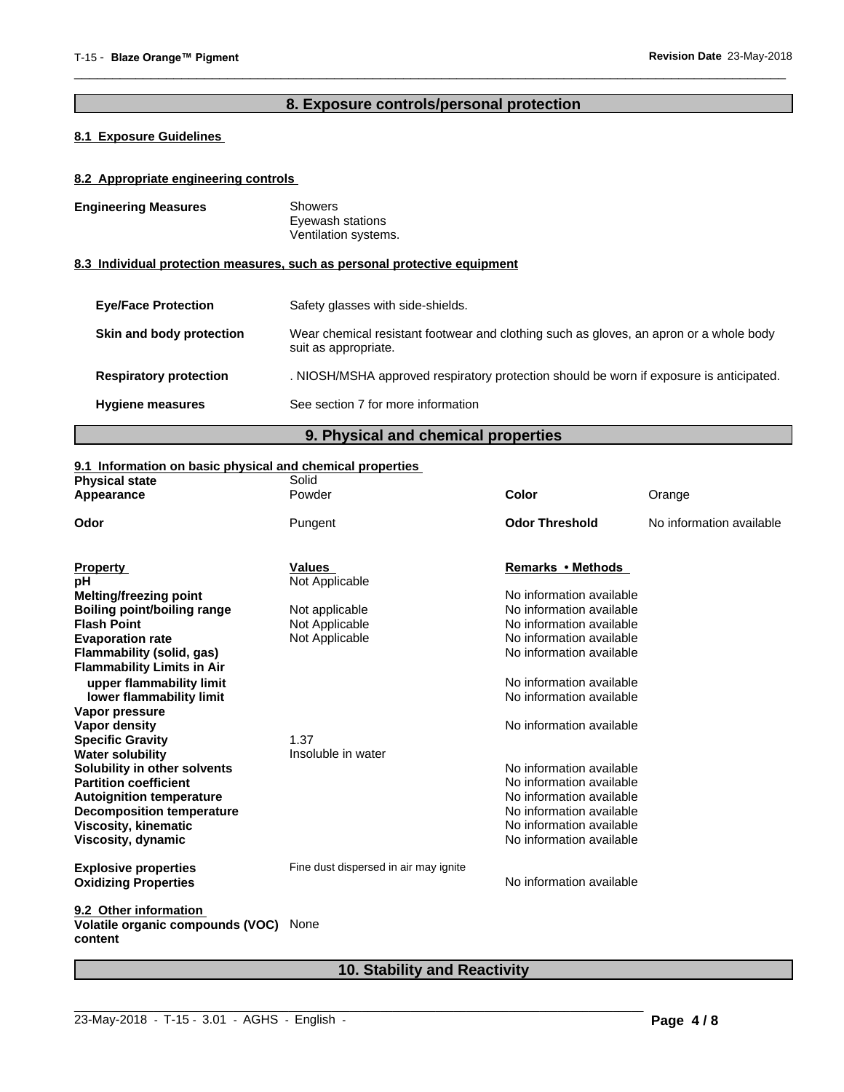# **8. Exposure controls/personal protection**

 $\overline{\phantom{a}}$  ,  $\overline{\phantom{a}}$  ,  $\overline{\phantom{a}}$  ,  $\overline{\phantom{a}}$  ,  $\overline{\phantom{a}}$  ,  $\overline{\phantom{a}}$  ,  $\overline{\phantom{a}}$  ,  $\overline{\phantom{a}}$  ,  $\overline{\phantom{a}}$  ,  $\overline{\phantom{a}}$  ,  $\overline{\phantom{a}}$  ,  $\overline{\phantom{a}}$  ,  $\overline{\phantom{a}}$  ,  $\overline{\phantom{a}}$  ,  $\overline{\phantom{a}}$  ,  $\overline{\phantom{a}}$ 

# **8.1 Exposure Guidelines**

### **8.2 Appropriate engineering controls**

| <b>Engineering Measures</b>   | <b>Showers</b><br>Eyewash stations<br>Ventilation systems.                                                     |  |
|-------------------------------|----------------------------------------------------------------------------------------------------------------|--|
|                               | 8.3 Individual protection measures, such as personal protective equipment                                      |  |
| <b>Eve/Face Protection</b>    | Safety glasses with side-shields.                                                                              |  |
| Skin and body protection      | Wear chemical resistant footwear and clothing such as gloves, an apron or a whole body<br>suit as appropriate. |  |
| <b>Respiratory protection</b> | . NIOSH/MSHA approved respiratory protection should be worn if exposure is anticipated.                        |  |
| <b>Hygiene measures</b>       | See section 7 for more information                                                                             |  |

# **9. Physical and chemical properties**

# **9.1 Information on basic physical and chemical properties**

| Powder<br>Appearance                                 | Color                                 |                          |
|------------------------------------------------------|---------------------------------------|--------------------------|
|                                                      |                                       | Orange                   |
| Odor<br>Pungent                                      | <b>Odor Threshold</b>                 | No information available |
| Values<br><b>Property</b>                            | Remarks • Methods                     |                          |
| Not Applicable<br>рH                                 |                                       |                          |
| <b>Melting/freezing point</b>                        | No information available              |                          |
| <b>Boiling point/boiling range</b><br>Not applicable | No information available              |                          |
| <b>Flash Point</b><br>Not Applicable                 | No information available              |                          |
| Not Applicable<br><b>Evaporation rate</b>            | No information available              |                          |
| Flammability (solid, gas)                            | No information available              |                          |
| <b>Flammability Limits in Air</b>                    |                                       |                          |
| upper flammability limit                             | No information available              |                          |
| lower flammability limit                             | No information available              |                          |
| Vapor pressure                                       |                                       |                          |
| Vapor density                                        | No information available              |                          |
| 1.37<br><b>Specific Gravity</b>                      |                                       |                          |
| <b>Water solubility</b><br>Insoluble in water        |                                       |                          |
| Solubility in other solvents                         | No information available              |                          |
| <b>Partition coefficient</b>                         | No information available              |                          |
| <b>Autoignition temperature</b>                      | No information available              |                          |
| <b>Decomposition temperature</b>                     | No information available              |                          |
| <b>Viscosity, kinematic</b>                          | No information available              |                          |
| Viscosity, dynamic                                   | No information available              |                          |
| <b>Explosive properties</b>                          | Fine dust dispersed in air may ignite |                          |
| <b>Oxidizing Properties</b>                          | No information available              |                          |
| 9.2 Other information                                |                                       |                          |
| Volatile organic compounds (VOC)<br>None<br>content  |                                       |                          |

# **10. Stability and Reactivity**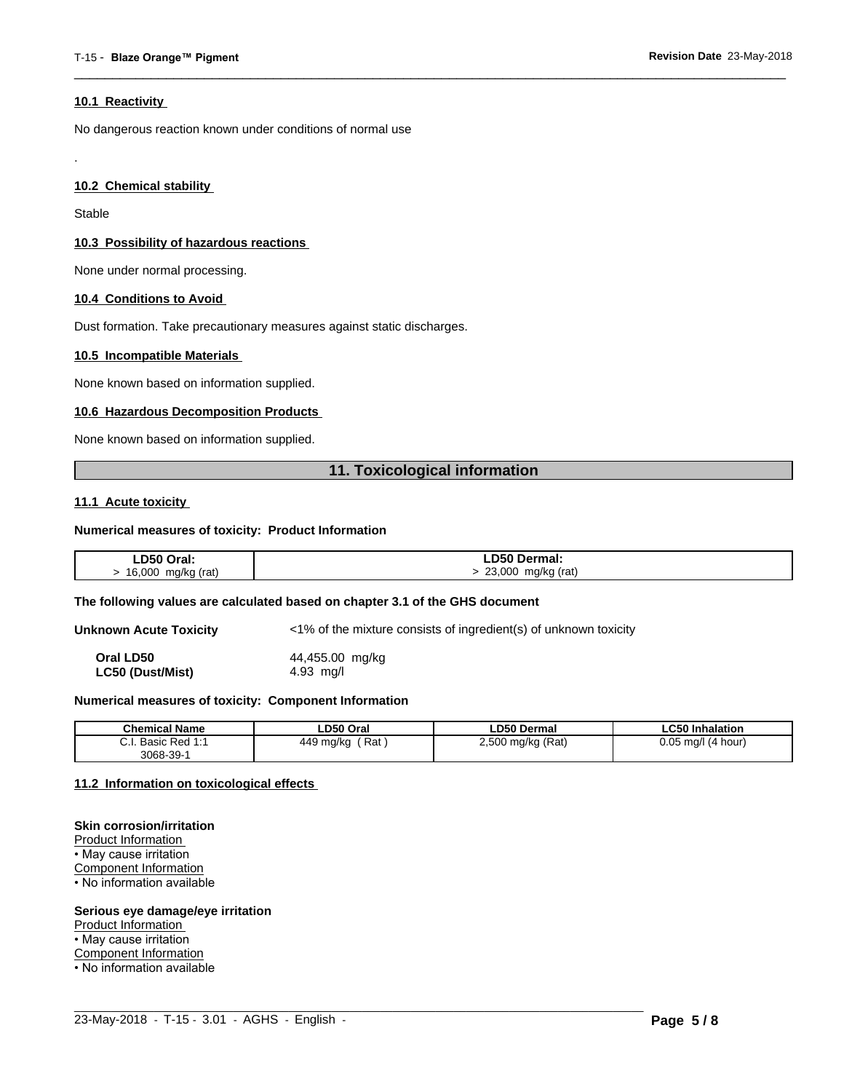#### **10.1 Reactivity**

No dangerous reaction known under conditions of normal use

### **10.2 Chemical stability**

Stable

.

#### **10.3 Possibility of hazardous reactions**

None under normal processing.

#### **10.4 Conditions to Avoid**

Dust formation. Take precautionary measures against static discharges.

#### **10.5 Incompatible Materials**

None known based on information supplied.

#### **10.6 Hazardous Decomposition Products**

None known based on information supplied.

# **11. Toxicological information**

 $\overline{\phantom{a}}$  ,  $\overline{\phantom{a}}$  ,  $\overline{\phantom{a}}$  ,  $\overline{\phantom{a}}$  ,  $\overline{\phantom{a}}$  ,  $\overline{\phantom{a}}$  ,  $\overline{\phantom{a}}$  ,  $\overline{\phantom{a}}$  ,  $\overline{\phantom{a}}$  ,  $\overline{\phantom{a}}$  ,  $\overline{\phantom{a}}$  ,  $\overline{\phantom{a}}$  ,  $\overline{\phantom{a}}$  ,  $\overline{\phantom{a}}$  ,  $\overline{\phantom{a}}$  ,  $\overline{\phantom{a}}$ 

#### **11.1 Acute toxicity**

#### **Numerical measures of toxicity: Product Information**

| LD50 Oral:  | <b>LD50 Dermal:</b> |
|-------------|---------------------|
| 16,000      | 23,000              |
| mg/kg (rat) | mg/kg (rat)         |

#### **The following values are calculated based on chapter 3.1 of the GHS document**

**Unknown Acute Toxicity** <1% of the mixture consists of ingredient(s) of unknown toxicity

**Oral LD50** 44,455.00 mg/kg **LC50 (Dust/Mist)** 4.93 mg/l

#### **Numerical measures of toxicity: Component Information**

| <b>Chemical Name</b>                                                                | LD50 Oral        | <b>LD50 Dermal</b>     | <b>LC50 Inhalation</b>   |
|-------------------------------------------------------------------------------------|------------------|------------------------|--------------------------|
| $\sim$<br>$Dod$ 4.4<br><b>Dooin</b><br><b>D</b> asic<br>$\mathsf{r}$ Req.i.<br>υ.ι. | Rat<br>449 mg/kg | ) mg/kg (Rat)<br>2,500 | 0.05<br>(4 hour)<br>ma/l |
| $3068 - 39 - 7$                                                                     |                  |                        |                          |

 $\_$  ,  $\_$  ,  $\_$  ,  $\_$  ,  $\_$  ,  $\_$  ,  $\_$  ,  $\_$  ,  $\_$  ,  $\_$  ,  $\_$  ,  $\_$  ,  $\_$  ,  $\_$  ,  $\_$  ,  $\_$  ,  $\_$  ,  $\_$  ,  $\_$  ,  $\_$  ,  $\_$  ,  $\_$  ,  $\_$  ,  $\_$  ,  $\_$  ,  $\_$  ,  $\_$  ,  $\_$  ,  $\_$  ,  $\_$  ,  $\_$  ,  $\_$  ,  $\_$  ,  $\_$  ,  $\_$  ,  $\_$  ,  $\_$  ,

#### **11.2 Information on toxicologicaleffects**

#### **Skin corrosion/irritation**

Product Information • May cause irritation Component Information • No information available

#### **Serious eye damage/eye irritation**

Product Information

• May cause irritation

Component Information

• No information available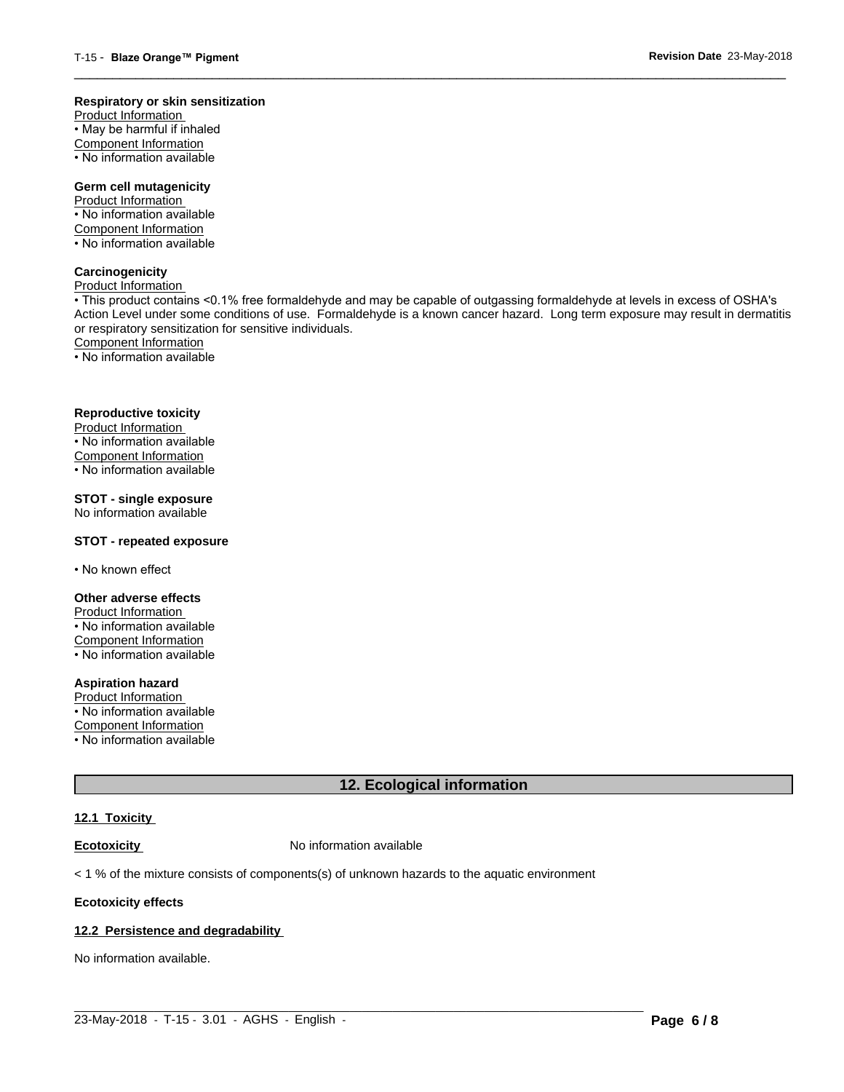#### **Respiratory or skin sensitization**

Product Information  $\overline{\cdot}$  May be harmful if inhaled Component Information • No information available

# **Germ cell mutagenicity**

Product Information • No information available Component Information • No information available

# **Carcinogenicity**

Product Information

• This product contains <0.1% free formaldehyde and may be capable of outgassing formaldehyde at levels in excess of OSHA's Action Level under some conditions of use. Formaldehyde is a known cancer hazard. Long term exposure may result in dermatitis or respiratory sensitization for sensitive individuals.Component Information

 $\overline{\phantom{a}}$  ,  $\overline{\phantom{a}}$  ,  $\overline{\phantom{a}}$  ,  $\overline{\phantom{a}}$  ,  $\overline{\phantom{a}}$  ,  $\overline{\phantom{a}}$  ,  $\overline{\phantom{a}}$  ,  $\overline{\phantom{a}}$  ,  $\overline{\phantom{a}}$  ,  $\overline{\phantom{a}}$  ,  $\overline{\phantom{a}}$  ,  $\overline{\phantom{a}}$  ,  $\overline{\phantom{a}}$  ,  $\overline{\phantom{a}}$  ,  $\overline{\phantom{a}}$  ,  $\overline{\phantom{a}}$ 

• No information available

#### **Reproductive toxicity**

Product Information • No information available

Component Information

• No information available

# **STOT - single exposure**

No information available

#### **STOT - repeated exposure**

• No known effect

#### **Other adverse effects**

Product Information • No information available Component Information • No information available

# **Aspiration hazard**

Product Information • No information available

Component Information

• No information available

# **12. Ecological information**

#### **12.1 Toxicity**

**Ecotoxicity No information available** 

 $<$  1 % of the mixture consists of components(s) of unknown hazards to the aquatic environment

#### **Ecotoxicity effects**

#### **12.2 Persistence and degradability**

No information available.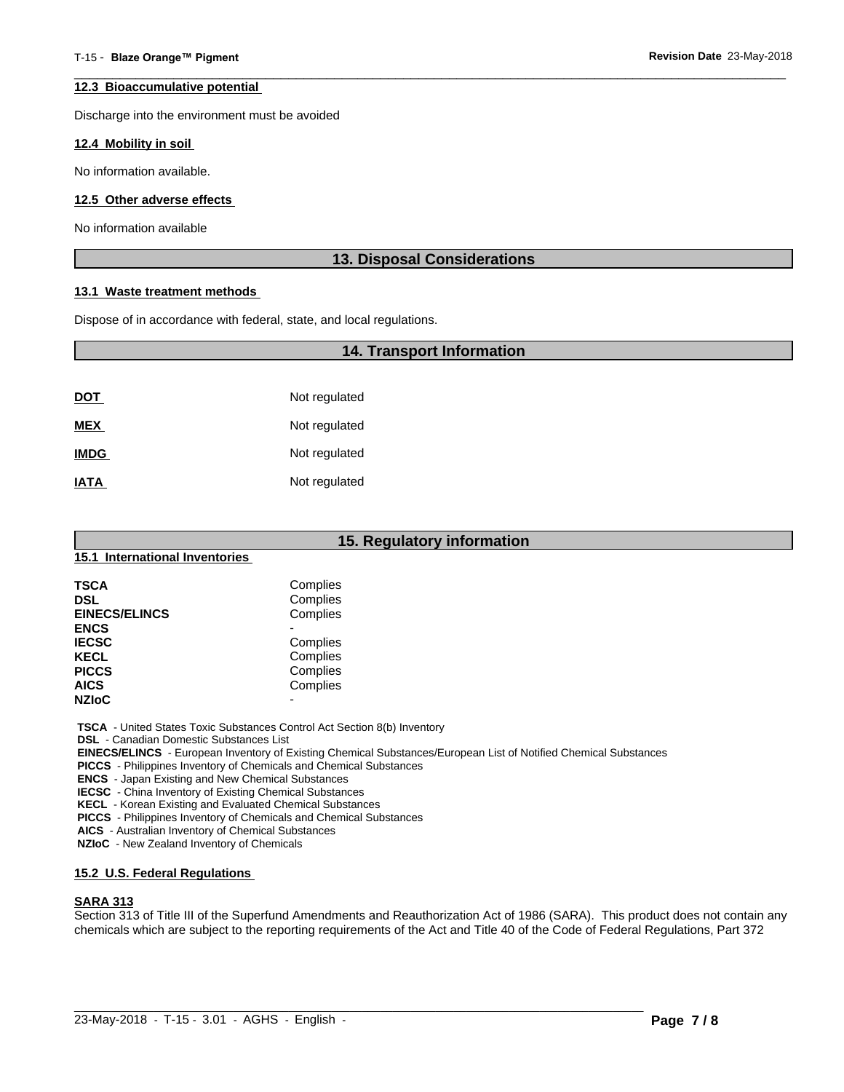#### **12.3 Bioaccumulative potential**

Discharge into the environment must be avoided

#### **12.4 Mobility in soil**

No information available.

#### **12.5 Other adverse effects**

No information available

# **13. Disposal Considerations**

 $\overline{\phantom{a}}$  ,  $\overline{\phantom{a}}$  ,  $\overline{\phantom{a}}$  ,  $\overline{\phantom{a}}$  ,  $\overline{\phantom{a}}$  ,  $\overline{\phantom{a}}$  ,  $\overline{\phantom{a}}$  ,  $\overline{\phantom{a}}$  ,  $\overline{\phantom{a}}$  ,  $\overline{\phantom{a}}$  ,  $\overline{\phantom{a}}$  ,  $\overline{\phantom{a}}$  ,  $\overline{\phantom{a}}$  ,  $\overline{\phantom{a}}$  ,  $\overline{\phantom{a}}$  ,  $\overline{\phantom{a}}$ 

#### **13.1 Waste treatment methods**

Dispose of in accordance with federal, state, and local regulations.

# **14. Transport Information**

| <u>DOT</u>  | Not regulated |
|-------------|---------------|
| <b>MEX</b>  | Not regulated |
| <b>IMDG</b> | Not regulated |
| <b>IATA</b> | Not regulated |

| 15. Regulatory information     |          |  |
|--------------------------------|----------|--|
| 15.1 International Inventories |          |  |
| <b>TSCA</b>                    | Complies |  |
| <b>DSL</b>                     | Complies |  |
| <b>EINECS/ELINCS</b>           | Complies |  |
| <b>ENCS</b>                    | -        |  |
| <b>IECSC</b>                   | Complies |  |
| <b>KECL</b>                    | Complies |  |
| <b>PICCS</b>                   | Complies |  |
| <b>AICS</b>                    | Complies |  |
| <b>NZIoC</b>                   | ۰        |  |

 **TSCA** - United States Toxic Substances Control Act Section 8(b) Inventory

 **DSL** - Canadian Domestic Substances List

 **EINECS/ELINCS** - European Inventory of Existing Chemical Substances/European List of Notified Chemical Substances

 **PICCS** - Philippines Inventory of Chemicals and Chemical Substances

 **ENCS** - Japan Existing and New Chemical Substances

 **IECSC** - China Inventory of Existing Chemical Substances

 **KECL** - Korean Existing and Evaluated Chemical Substances

 **PICCS** - Philippines Inventory of Chemicals and Chemical Substances

 **AICS** - Australian Inventory of Chemical Substances

 **NZIoC** - New Zealand Inventory of Chemicals

# **15.2 U.S. Federal Regulations**

# **SARA 313**

Section 313 of Title III of the Superfund Amendments and Reauthorization Act of 1986 (SARA). This product does not contain any chemicals which are subject to the reporting requirements of the Act and Title 40 of the Code of Federal Regulations, Part 372

 $\_$  ,  $\_$  ,  $\_$  ,  $\_$  ,  $\_$  ,  $\_$  ,  $\_$  ,  $\_$  ,  $\_$  ,  $\_$  ,  $\_$  ,  $\_$  ,  $\_$  ,  $\_$  ,  $\_$  ,  $\_$  ,  $\_$  ,  $\_$  ,  $\_$  ,  $\_$  ,  $\_$  ,  $\_$  ,  $\_$  ,  $\_$  ,  $\_$  ,  $\_$  ,  $\_$  ,  $\_$  ,  $\_$  ,  $\_$  ,  $\_$  ,  $\_$  ,  $\_$  ,  $\_$  ,  $\_$  ,  $\_$  ,  $\_$  ,